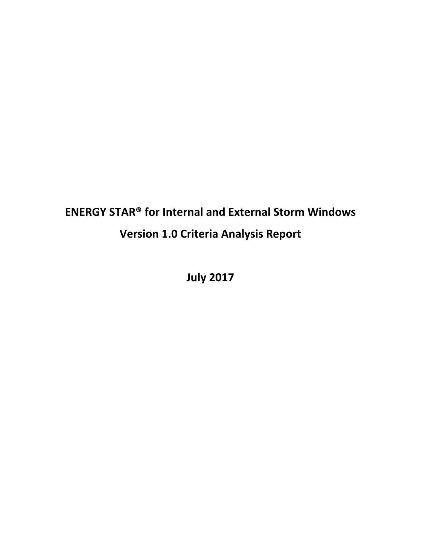# **ENERGY STAR® for Internal and External Storm Windows Version 1.0 Criteria Analysis Report**

**July 2017**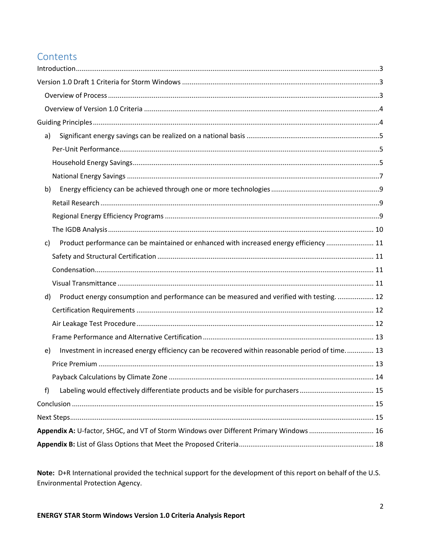### Contents

| a)                                                                                                     |  |
|--------------------------------------------------------------------------------------------------------|--|
|                                                                                                        |  |
|                                                                                                        |  |
|                                                                                                        |  |
| b)                                                                                                     |  |
|                                                                                                        |  |
|                                                                                                        |  |
|                                                                                                        |  |
| Product performance can be maintained or enhanced with increased energy efficiency  11<br>$\mathsf{c}$ |  |
|                                                                                                        |  |
|                                                                                                        |  |
|                                                                                                        |  |
| Product energy consumption and performance can be measured and verified with testing.  12<br>d)        |  |
|                                                                                                        |  |
|                                                                                                        |  |
|                                                                                                        |  |
| Investment in increased energy efficiency can be recovered within reasonable period of time 13<br>e)   |  |
|                                                                                                        |  |
|                                                                                                        |  |
| f)<br>Labeling would effectively differentiate products and be visible for purchasers 15               |  |
|                                                                                                        |  |
|                                                                                                        |  |
| Appendix A: U-factor, SHGC, and VT of Storm Windows over Different Primary Windows  16                 |  |
|                                                                                                        |  |
|                                                                                                        |  |

Note: D+R International provided the technical support for the development of this report on behalf of the U.S. Environmental Protection Agency.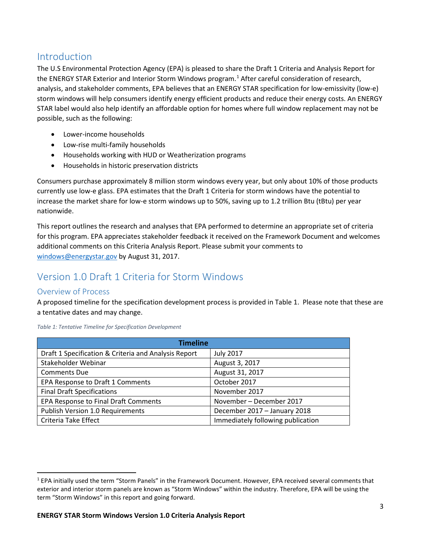### <span id="page-2-0"></span>Introduction

The U.S Environmental Protection Agency (EPA) is pleased to share the Draft 1 Criteria and Analysis Report for the ENERGY STAR Exterior and Interior Storm Windows program.<sup>[1](#page-2-3)</sup> After careful consideration of research, analysis, and stakeholder comments, EPA believes that an ENERGY STAR specification for low-emissivity (low-e) storm windows will help consumers identify energy efficient products and reduce their energy costs. An ENERGY STAR label would also help identify an affordable option for homes where full window replacement may not be possible, such as the following:

- Lower-income households
- Low-rise multi-family households
- Households working with HUD or Weatherization programs
- Households in historic preservation districts

Consumers purchase approximately 8 million storm windows every year, but only about 10% of those products currently use low-e glass. EPA estimates that the Draft 1 Criteria for storm windows have the potential to increase the market share for low-e storm windows up to 50%, saving up to 1.2 trillion Btu (tBtu) per year nationwide.

This report outlines the research and analyses that EPA performed to determine an appropriate set of criteria for this program. EPA appreciates stakeholder feedback it received on the Framework Document and welcomes additional comments on this Criteria Analysis Report. Please submit your comments to [windows@energystar.gov](mailto:windows@energystar.gov) by August 31, 2017.

### <span id="page-2-1"></span>Version 1.0 Draft 1 Criteria for Storm Windows

#### <span id="page-2-2"></span>Overview of Process

A proposed timeline for the specification development process is provided in Table 1. Please note that these are a tentative dates and may change.

| <b>Timeline</b>                                      |                                   |  |  |
|------------------------------------------------------|-----------------------------------|--|--|
| Draft 1 Specification & Criteria and Analysis Report | <b>July 2017</b>                  |  |  |
| Stakeholder Webinar                                  | August 3, 2017                    |  |  |
| <b>Comments Due</b>                                  | August 31, 2017                   |  |  |
| EPA Response to Draft 1 Comments                     | October 2017                      |  |  |
| <b>Final Draft Specifications</b>                    | November 2017                     |  |  |
| EPA Response to Final Draft Comments                 | November - December 2017          |  |  |
| Publish Version 1.0 Requirements                     | December 2017 - January 2018      |  |  |
| Criteria Take Effect                                 | Immediately following publication |  |  |

*Table 1: Tentative Timeline for Specification Development*

<span id="page-2-3"></span> <sup>1</sup> EPA initially used the term "Storm Panels" in the Framework Document. However, EPA received several comments that exterior and interior storm panels are known as "Storm Windows" within the industry. Therefore, EPA will be using the term "Storm Windows" in this report and going forward.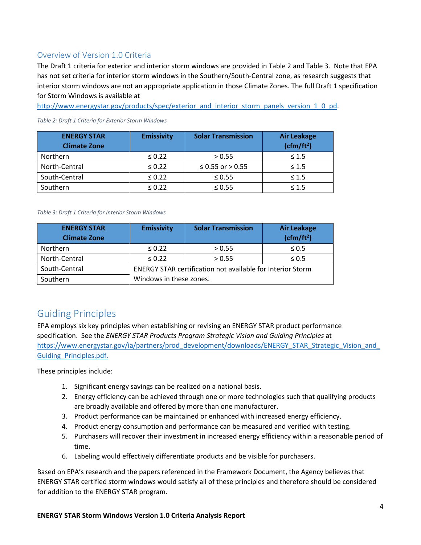### <span id="page-3-0"></span>Overview of Version 1.0 Criteria

The Draft 1 criteria for exterior and interior storm windows are provided in Table 2 and Table 3. Note that EPA has not set criteria for interior storm windows in the Southern/South-Central zone, as research suggests that interior storm windows are not an appropriate application in those Climate Zones. The full Draft 1 specification for Storm Windows is available at

[http://www.energystar.gov/products/spec/exterior\\_and\\_interior\\_storm\\_panels\\_version\\_1\\_0\\_pd.](http://www.energystar.gov/products/spec/exterior_and_interior_storm_panels_version_1_0_pd)

| <b>ENERGY STAR</b>  | <b>Emissivity</b> | <b>Solar Transmission</b> | <b>Air Leakage</b> |
|---------------------|-------------------|---------------------------|--------------------|
| <b>Climate Zone</b> |                   |                           | $(cfm/ft^2)$       |
| <b>Northern</b>     | $\leq 0.22$       | > 0.55                    | $\leq 1.5$         |
| North-Central       | $\leq 0.22$       | ≤ 0.55 or > 0.55          | $\leq 1.5$         |
| South-Central       | $\leq 0.22$       | $\leq 0.55$               | $\leq 1.5$         |
| Southern            | $\leq 0.22$       | $\leq 0.55$               | $\leq 1.5$         |

*Table 2: Draft 1 Criteria for Exterior Storm Windows*

#### *Table 3: Draft 1 Criteria for Interior Storm Windows*

| <b>ENERGY STAR</b><br><b>Climate Zone</b> | <b>Emissivity</b>                                                 | <b>Solar Transmission</b> | <b>Air Leakage</b><br>$(cfm/ft^2)$ |
|-------------------------------------------|-------------------------------------------------------------------|---------------------------|------------------------------------|
| Northern                                  | $\leq 0.22$                                                       | > 0.55                    | $\leq 0.5$                         |
| North-Central                             | $\leq 0.22$                                                       | > 0.55                    | $\leq 0.5$                         |
| South-Central                             | <b>ENERGY STAR certification not available for Interior Storm</b> |                           |                                    |
| Southern                                  | Windows in these zones.                                           |                           |                                    |

### <span id="page-3-1"></span>Guiding Principles

EPA employs six key principles when establishing or revising an ENERGY STAR product performance specification. See the *ENERGY STAR Products Program Strategic Vision and Guiding Principles* at https://www.energystar.gov/ia/partners/prod\_development/downloads/ENERGY\_STAR\_Strategic\_Vision\_and [Guiding\\_Principles.pdf.](https://www.energystar.gov/ia/partners/prod_development/downloads/ENERGY_STAR_Strategic_Vision_and_Guiding_Principles.pdf)

These principles include:

- 1. Significant energy savings can be realized on a national basis.
- 2. Energy efficiency can be achieved through one or more technologies such that qualifying products are broadly available and offered by more than one manufacturer.
- 3. Product performance can be maintained or enhanced with increased energy efficiency.
- 4. Product energy consumption and performance can be measured and verified with testing.
- 5. Purchasers will recover their investment in increased energy efficiency within a reasonable period of time.
- 6. Labeling would effectively differentiate products and be visible for purchasers.

Based on EPA's research and the papers referenced in the Framework Document, the Agency believes that ENERGY STAR certified storm windows would satisfy all of these principles and therefore should be considered for addition to the ENERGY STAR program.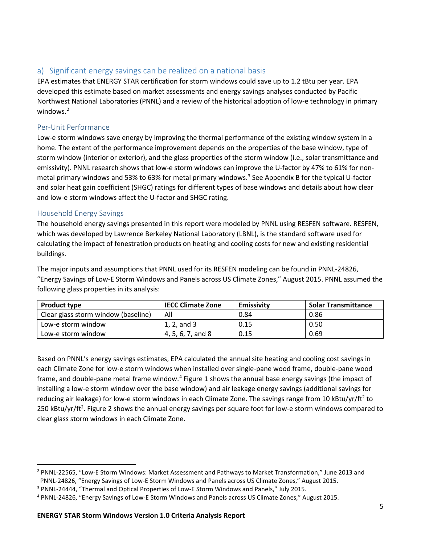### <span id="page-4-0"></span>a) Significant energy savings can be realized on a national basis

EPA estimates that ENERGY STAR certification for storm windows could save up to 1.2 tBtu per year. EPA developed this estimate based on market assessments and energy savings analyses conducted by Pacific Northwest National Laboratories (PNNL) and a review of the historical adoption of low-e technology in primary windows.<sup>[2](#page-4-3)</sup>

#### <span id="page-4-1"></span>Per-Unit Performance

Low-e storm windows save energy by improving the thermal performance of the existing window system in a home. The extent of the performance improvement depends on the properties of the base window, type of storm window (interior or exterior), and the glass properties of the storm window (i.e., solar transmittance and emissivity). PNNL research shows that low-e storm windows can improve the U-factor by 47% to 61% for non-metal primary windows and 5[3](#page-4-4)% to 63% for metal primary windows.<sup>3</sup> See Appendix B for the typical U-factor and solar heat gain coefficient (SHGC) ratings for different types of base windows and details about how clear and low-e storm windows affect the U-factor and SHGC rating.

#### <span id="page-4-2"></span>Household Energy Savings

The household energy savings presented in this report were modeled by PNNL using RESFEN software. RESFEN, which was developed by Lawrence Berkeley National Laboratory (LBNL), is the standard software used for calculating the impact of fenestration products on heating and cooling costs for new and existing residential buildings.

The major inputs and assumptions that PNNL used for its RESFEN modeling can be found in PNNL-24826, "Energy Savings of Low-E Storm Windows and Panels across US Climate Zones," August 2015. PNNL assumed the following glass properties in its analysis:

| <b>Product type</b>                 | <b>IECC Climate Zone</b> | <b>Emissivity</b> | <b>Solar Transmittance</b> |
|-------------------------------------|--------------------------|-------------------|----------------------------|
| Clear glass storm window (baseline) | All                      | 0.84              | 0.86                       |
| Low-e storm window                  | 1, 2, and 3              | 0.15              | 0.50                       |
| Low-e storm window                  | 4, 5, 6, 7, and 8        | 0.15              | 0.69                       |

Based on PNNL's energy savings estimates, EPA calculated the annual site heating and cooling cost savings in each Climate Zone for low-e storm windows when installed over single-pane wood frame, double-pane wood frame, and double-pane metal frame window.<sup>[4](#page-4-5)</sup> Figure 1 shows the annual base energy savings (the impact of installing a low-e storm window over the base window) and air leakage energy savings (additional savings for reducing air leakage) for low-e storm windows in each Climate Zone. The savings range from 10 kBtu/yr/ft<sup>2</sup> to 250 kBtu/yr/ft<sup>2</sup>. Figure 2 shows the annual energy savings per square foot for low-e storm windows compared to clear glass storm windows in each Climate Zone.

<span id="page-4-3"></span> <sup>2</sup> PNNL-22565, "Low-E Storm Windows: Market Assessment and Pathways to Market Transformation," June 2013 and PNNL-24826, "Energy Savings of Low-E Storm Windows and Panels across US Climate Zones," August 2015.

<span id="page-4-4"></span><sup>3</sup> PNNL-24444, "Thermal and Optical Properties of Low-E Storm Windows and Panels," July 2015.

<span id="page-4-5"></span><sup>4</sup> PNNL-24826, "Energy Savings of Low-E Storm Windows and Panels across US Climate Zones," August 2015.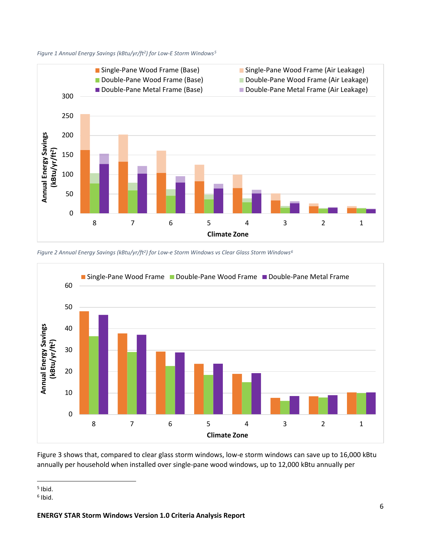



*Figure 2 Annual Energy Savings (kBtu/yr/ft2) for Low-e Storm Windows vs Clear Glass Storm Windows[6](#page-5-1)*



Figure 3 shows that, compared to clear glass storm windows, low-e storm windows can save up to 16,000 kBtu annually per household when installed over single-pane wood windows, up to 12,000 kBtu annually per

<span id="page-5-0"></span> $<sup>5</sup>$  Ibid.</sup>

<span id="page-5-1"></span> $6$  Ibid.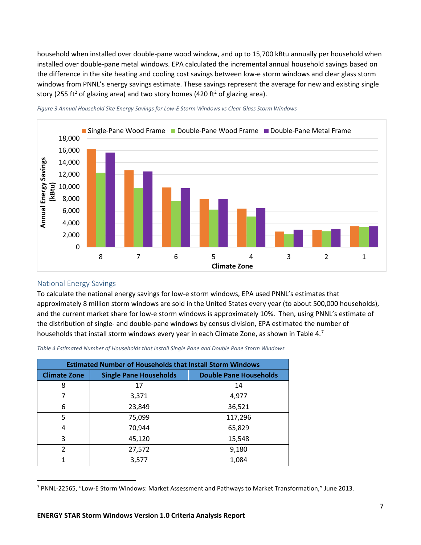household when installed over double-pane wood window, and up to 15,700 kBtu annually per household when installed over double-pane metal windows. EPA calculated the incremental annual household savings based on the difference in the site heating and cooling cost savings between low-e storm windows and clear glass storm windows from PNNL's energy savings estimate. These savings represent the average for new and existing single story (255 ft<sup>2</sup> of glazing area) and two story homes (420 ft<sup>2</sup> of glazing area).



*Figure 3 Annual Household Site Energy Savings for Low-E Storm Windows vs Clear Glass Storm Windows*

#### <span id="page-6-0"></span>National Energy Savings

To calculate the national energy savings for low-e storm windows, EPA used PNNL's estimates that approximately 8 million storm windows are sold in the United States every year (to about 500,000 households), and the current market share for low-e storm windows is approximately 10%. Then, using PNNL's estimate of the distribution of single- and double-pane windows by census division, EPA estimated the number of households that install storm windows every year in each Climate Zone, as shown in Table 4.<sup>[7](#page-6-1)</sup>

*Table 4 Estimated Number of Households that Install Single Pane and Double Pane Storm Windows*

| <b>Estimated Number of Households that Install Storm Windows</b> |        |                               |  |
|------------------------------------------------------------------|--------|-------------------------------|--|
| <b>Single Pane Households</b><br><b>Climate Zone</b>             |        | <b>Double Pane Households</b> |  |
| 8                                                                | 17     | 14                            |  |
| 7                                                                | 3,371  | 4,977                         |  |
| 6                                                                | 23,849 | 36,521                        |  |
| 5                                                                | 75,099 | 117,296                       |  |
| 4                                                                | 70,944 | 65,829                        |  |
| 3                                                                | 45,120 | 15,548                        |  |
| $\mathcal{P}$                                                    | 27,572 | 9,180                         |  |
|                                                                  | 3,577  | 1,084                         |  |

<span id="page-6-1"></span> <sup>7</sup> PNNL-22565, "Low-E Storm Windows: Market Assessment and Pathways to Market Transformation," June 2013.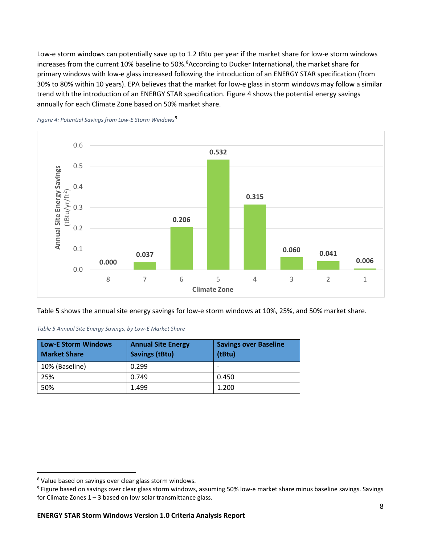Low-e storm windows can potentially save up to 1.2 tBtu per year if the market share for low-e storm windows increases from the current 10% baseline to 50%.<sup>[8](#page-7-0)</sup> According to Ducker International, the market share for primary windows with low-e glass increased following the introduction of an ENERGY STAR specification (from 30% to 80% within 10 years). EPA believes that the market for low-e glass in storm windows may follow a similar trend with the introduction of an ENERGY STAR specification. Figure 4 shows the potential energy savings annually for each Climate Zone based on 50% market share.





Table 5 shows the annual site energy savings for low-e storm windows at 10%, 25%, and 50% market share.

| Low-E Storm Windows<br><b>Market Share</b> | <b>Annual Site Energy</b><br><b>Savings (tBtu)</b> | <b>Savings over Baseline</b><br>(tBtu) |
|--------------------------------------------|----------------------------------------------------|----------------------------------------|
| 10% (Baseline)                             | 0.299                                              |                                        |
| 25%                                        | 0.749                                              | 0.450                                  |
| 50%                                        | 1.499                                              | 1.200                                  |

<span id="page-7-0"></span> <sup>8</sup> Value based on savings over clear glass storm windows.

<span id="page-7-1"></span><sup>&</sup>lt;sup>9</sup> Figure based on savings over clear glass storm windows, assuming 50% low-e market share minus baseline savings. Savings for Climate Zones  $1 - 3$  based on low solar transmittance glass.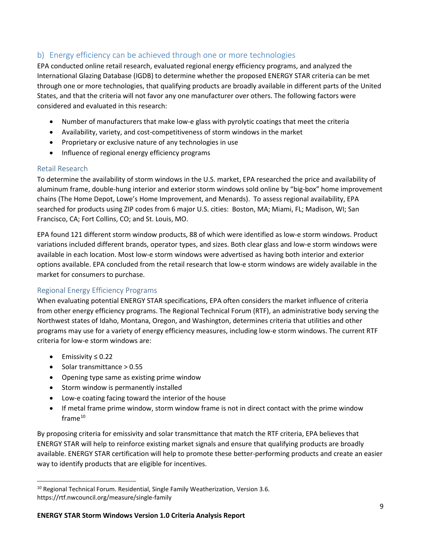### <span id="page-8-0"></span>b) Energy efficiency can be achieved through one or more technologies

EPA conducted online retail research, evaluated regional energy efficiency programs, and analyzed the International Glazing Database (IGDB) to determine whether the proposed ENERGY STAR criteria can be met through one or more technologies, that qualifying products are broadly available in different parts of the United States, and that the criteria will not favor any one manufacturer over others. The following factors were considered and evaluated in this research:

- Number of manufacturers that make low-e glass with pyrolytic coatings that meet the criteria
- Availability, variety, and cost-competitiveness of storm windows in the market
- Proprietary or exclusive nature of any technologies in use
- Influence of regional energy efficiency programs

#### <span id="page-8-1"></span>Retail Research

To determine the availability of storm windows in the U.S. market, EPA researched the price and availability of aluminum frame, double-hung interior and exterior storm windows sold online by "big-box" home improvement chains (The Home Depot, Lowe's Home Improvement, and Menards). To assess regional availability, EPA searched for products using ZIP codes from 6 major U.S. cities: Boston, MA; Miami, FL; Madison, WI; San Francisco, CA; Fort Collins, CO; and St. Louis, MO.

EPA found 121 different storm window products, 88 of which were identified as low-e storm windows. Product variations included different brands, operator types, and sizes. Both clear glass and low-e storm windows were available in each location. Most low-e storm windows were advertised as having both interior and exterior options available. EPA concluded from the retail research that low-e storm windows are widely available in the market for consumers to purchase.

#### <span id="page-8-2"></span>Regional Energy Efficiency Programs

When evaluating potential ENERGY STAR specifications, EPA often considers the market influence of criteria from other energy efficiency programs. The Regional Technical Forum (RTF), an administrative body serving the Northwest states of Idaho, Montana, Oregon, and Washington, determines criteria that utilities and other programs may use for a variety of energy efficiency measures, including low-e storm windows. The current RTF criteria for low-e storm windows are:

- Emissivity ≤ 0.22
- Solar transmittance > 0.55
- Opening type same as existing prime window
- Storm window is permanently installed
- Low-e coating facing toward the interior of the house
- If metal frame prime window, storm window frame is not in direct contact with the prime window  $frame<sup>10</sup>$  $frame<sup>10</sup>$  $frame<sup>10</sup>$

By proposing criteria for emissivity and solar transmittance that match the RTF criteria, EPA believes that ENERGY STAR will help to reinforce existing market signals and ensure that qualifying products are broadly available. ENERGY STAR certification will help to promote these better-performing products and create an easier way to identify products that are eligible for incentives.

<span id="page-8-3"></span> $10$  Regional Technical Forum. Residential, Single Family Weatherization, Version 3.6. https://rtf.nwcouncil.org/measure/single-family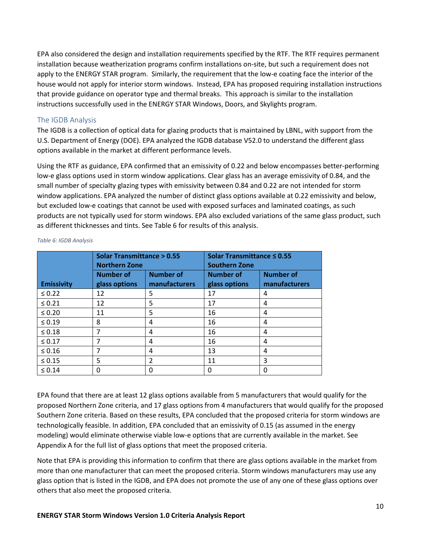EPA also considered the design and installation requirements specified by the RTF. The RTF requires permanent installation because weatherization programs confirm installations on-site, but such a requirement does not apply to the ENERGY STAR program. Similarly, the requirement that the low-e coating face the interior of the house would not apply for interior storm windows. Instead, EPA has proposed requiring installation instructions that provide guidance on operator type and thermal breaks. This approach is similar to the installation instructions successfully used in the ENERGY STAR Windows, Doors, and Skylights program.

#### <span id="page-9-0"></span>The IGDB Analysis

The IGDB is a collection of optical data for glazing products that is maintained by LBNL, with support from the U.S. Department of Energy (DOE). EPA analyzed the IGDB database V52.0 to understand the different glass options available in the market at different performance levels.

Using the RTF as guidance, EPA confirmed that an emissivity of 0.22 and below encompasses better-performing low-e glass options used in storm window applications. Clear glass has an average emissivity of 0.84, and the small number of specialty glazing types with emissivity between 0.84 and 0.22 are not intended for storm window applications. EPA analyzed the number of distinct glass options available at 0.22 emissivity and below, but excluded low-e coatings that cannot be used with exposed surfaces and laminated coatings, as such products are not typically used for storm windows. EPA also excluded variations of the same glass product, such as different thicknesses and tints. See Table 6 for results of this analysis.

|                   | <b>Solar Transmittance &gt; 0.55</b> |                         | Solar Transmittance ≤ 0.55 |                  |  |
|-------------------|--------------------------------------|-------------------------|----------------------------|------------------|--|
|                   | <b>Northern Zone</b>                 |                         | <b>Southern Zone</b>       |                  |  |
|                   | <b>Number of</b>                     | <b>Number of</b>        | <b>Number of</b>           | <b>Number of</b> |  |
| <b>Emissivity</b> | glass options                        | manufacturers           | glass options              | manufacturers    |  |
| $\leq 0.22$       | 12                                   | 5                       | 17                         | 4                |  |
| $\leq 0.21$       | 12                                   | 5                       | 17                         | 4                |  |
| $\leq 0.20$       | 11                                   | 5                       | 16                         | 4                |  |
| $\leq 0.19$       | 8                                    | 4                       | 16                         | 4                |  |
| $\leq 0.18$       | 7                                    | 4                       | 16                         | 4                |  |
| $\leq 0.17$       | 7                                    | 4                       | 16                         | 4                |  |
| $\leq 0.16$       | 7                                    | 4                       | 13                         | 4                |  |
| $\leq 0.15$       | 5                                    | $\overline{\mathbf{c}}$ | 11                         | 3                |  |
| $\leq 0.14$       | 0                                    |                         |                            |                  |  |

*Table 6: IGDB Analysis*

EPA found that there are at least 12 glass options available from 5 manufacturers that would qualify for the proposed Northern Zone criteria, and 17 glass options from 4 manufacturers that would qualify for the proposed Southern Zone criteria. Based on these results, EPA concluded that the proposed criteria for storm windows are technologically feasible. In addition, EPA concluded that an emissivity of 0.15 (as assumed in the energy modeling) would eliminate otherwise viable low-e options that are currently available in the market. See [Appendix A](#page-14-3) for the full list of glass options that meet the proposed criteria.

Note that EPA is providing this information to confirm that there are glass options available in the market from more than one manufacturer that can meet the proposed criteria. Storm windows manufacturers may use any glass option that is listed in the IGDB, and EPA does not promote the use of any one of these glass options over others that also meet the proposed criteria.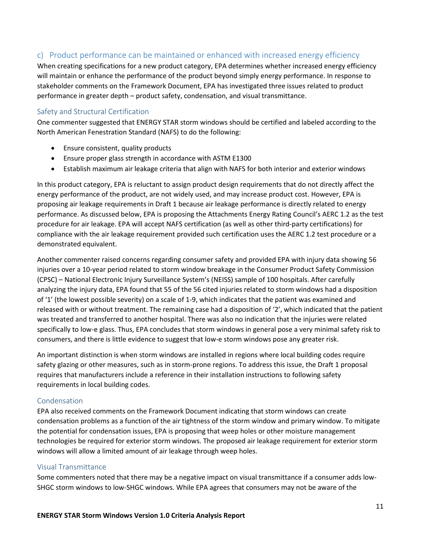### <span id="page-10-0"></span>c) Product performance can be maintained or enhanced with increased energy efficiency

When creating specifications for a new product category, EPA determines whether increased energy efficiency will maintain or enhance the performance of the product beyond simply energy performance. In response to stakeholder comments on the Framework Document, EPA has investigated three issues related to product performance in greater depth – product safety, condensation, and visual transmittance.

#### <span id="page-10-1"></span>Safety and Structural Certification

One commenter suggested that ENERGY STAR storm windows should be certified and labeled according to the North American Fenestration Standard (NAFS) to do the following:

- Ensure consistent, quality products
- Ensure proper glass strength in accordance with ASTM E1300
- Establish maximum air leakage criteria that align with NAFS for both interior and exterior windows

In this product category, EPA is reluctant to assign product design requirements that do not directly affect the energy performance of the product, are not widely used, and may increase product cost. However, EPA is proposing air leakage requirements in Draft 1 because air leakage performance is directly related to energy performance. As discussed below, EPA is proposing the Attachments Energy Rating Council's AERC 1.2 as the test procedure for air leakage. EPA will accept NAFS certification (as well as other third-party certifications) for compliance with the air leakage requirement provided such certification uses the AERC 1.2 test procedure or a demonstrated equivalent.

Another commenter raised concerns regarding consumer safety and provided EPA with injury data showing 56 injuries over a 10-year period related to storm window breakage in the Consumer Product Safety Commission (CPSC) – National Electronic Injury Surveillance System's (NEISS) sample of 100 hospitals. After carefully analyzing the injury data, EPA found that 55 of the 56 cited injuries related to storm windows had a disposition of '1' (the lowest possible severity) on a scale of 1-9, which indicates that the patient was examined and released with or without treatment. The remaining case had a disposition of '2', which indicated that the patient was treated and transferred to another hospital. There was also no indication that the injuries were related specifically to low-e glass. Thus, EPA concludes that storm windows in general pose a very minimal safety risk to consumers, and there is little evidence to suggest that low-e storm windows pose any greater risk.

An important distinction is when storm windows are installed in regions where local building codes require safety glazing or other measures, such as in storm-prone regions. To address this issue, the Draft 1 proposal requires that manufacturers include a reference in their installation instructions to following safety requirements in local building codes.

#### <span id="page-10-2"></span>Condensation

EPA also received comments on the Framework Document indicating that storm windows can create condensation problems as a function of the air tightness of the storm window and primary window. To mitigate the potential for condensation issues, EPA is proposing that weep holes or other moisture management technologies be required for exterior storm windows. The proposed air leakage requirement for exterior storm windows will allow a limited amount of air leakage through weep holes.

#### <span id="page-10-3"></span>Visual Transmittance

Some commenters noted that there may be a negative impact on visual transmittance if a consumer adds low-SHGC storm windows to low-SHGC windows. While EPA agrees that consumers may not be aware of the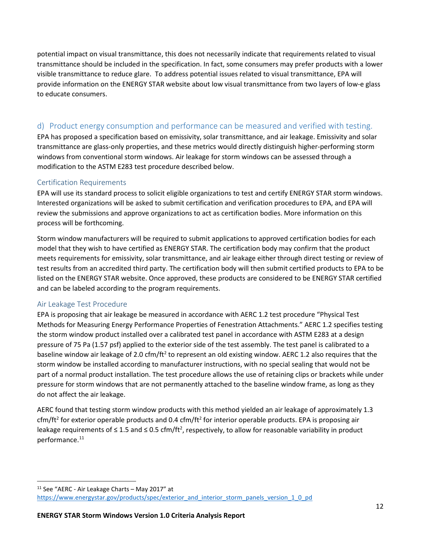potential impact on visual transmittance, this does not necessarily indicate that requirements related to visual transmittance should be included in the specification. In fact, some consumers may prefer products with a lower visible transmittance to reduce glare. To address potential issues related to visual transmittance, EPA will provide information on the ENERGY STAR website about low visual transmittance from two layers of low-e glass to educate consumers.

### <span id="page-11-0"></span>d) Product energy consumption and performance can be measured and verified with testing.

EPA has proposed a specification based on emissivity, solar transmittance, and air leakage. Emissivity and solar transmittance are glass-only properties, and these metrics would directly distinguish higher-performing storm windows from conventional storm windows. Air leakage for storm windows can be assessed through a modification to the ASTM E283 test procedure described below.

#### <span id="page-11-1"></span>Certification Requirements

EPA will use its standard process to solicit eligible organizations to test and certify ENERGY STAR storm windows. Interested organizations will be asked to submit certification and verification procedures to EPA, and EPA will review the submissions and approve organizations to act as certification bodies. More information on this process will be forthcoming.

Storm window manufacturers will be required to submit applications to approved certification bodies for each model that they wish to have certified as ENERGY STAR. The certification body may confirm that the product meets requirements for emissivity, solar transmittance, and air leakage either through direct testing or review of test results from an accredited third party. The certification body will then submit certified products to EPA to be listed on the ENERGY STAR website. Once approved, these products are considered to be ENERGY STAR certified and can be labeled according to the program requirements.

#### <span id="page-11-2"></span>Air Leakage Test Procedure

EPA is proposing that air leakage be measured in accordance with AERC 1.2 test procedure "Physical Test Methods for Measuring Energy Performance Properties of Fenestration Attachments." AERC 1.2 specifies testing the storm window product installed over a calibrated test panel in accordance with ASTM E283 at a design pressure of 75 Pa (1.57 psf) applied to the exterior side of the test assembly. The test panel is calibrated to a baseline window air leakage of 2.0 cfm/ft<sup>2</sup> to represent an old existing window. AERC 1.2 also requires that the storm window be installed according to manufacturer instructions, with no special sealing that would not be part of a normal product installation. The test procedure allows the use of retaining clips or brackets while under pressure for storm windows that are not permanently attached to the baseline window frame, as long as they do not affect the air leakage.

AERC found that testing storm window products with this method yielded an air leakage of approximately 1.3 cfm/ft<sup>2</sup> for exterior operable products and 0.4 cfm/ft<sup>2</sup> for interior operable products. EPA is proposing air leakage requirements of  $\leq 1.5$  and  $\leq 0.5$  cfm/ft<sup>2</sup>, respectively, to allow for reasonable variability in product performance. [11](#page-11-3)

<span id="page-11-3"></span> <sup>11</sup> See "AERC - Air Leakage Charts – May 2017" at [https://www.energystar.gov/products/spec/exterior\\_and\\_interior\\_storm\\_panels\\_version\\_1\\_0\\_pd](https://www.energystar.gov/products/spec/exterior_and_interior_storm_panels_version_1_0_pd)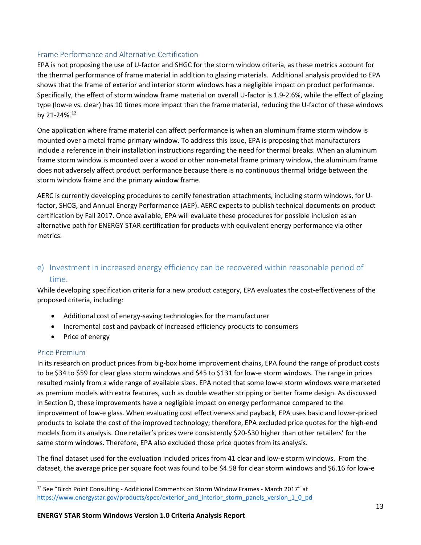#### <span id="page-12-0"></span>Frame Performance and Alternative Certification

EPA is not proposing the use of U-factor and SHGC for the storm window criteria, as these metrics account for the thermal performance of frame material in addition to glazing materials. Additional analysis provided to EPA shows that the frame of exterior and interior storm windows has a negligible impact on product performance. Specifically, the effect of storm window frame material on overall U-factor is 1.9-2.6%, while the effect of glazing type (low-e vs. clear) has 10 times more impact than the frame material, reducing the U-factor of these windows by 21-24%.[12](#page-12-3)

One application where frame material can affect performance is when an aluminum frame storm window is mounted over a metal frame primary window. To address this issue, EPA is proposing that manufacturers include a reference in their installation instructions regarding the need for thermal breaks. When an aluminum frame storm window is mounted over a wood or other non-metal frame primary window, the aluminum frame does not adversely affect product performance because there is no continuous thermal bridge between the storm window frame and the primary window frame.

AERC is currently developing procedures to certify fenestration attachments, including storm windows, for Ufactor, SHCG, and Annual Energy Performance (AEP). AERC expects to publish technical documents on product certification by Fall 2017. Once available, EPA will evaluate these procedures for possible inclusion as an alternative path for ENERGY STAR certification for products with equivalent energy performance via other metrics.

### <span id="page-12-1"></span>e) Investment in increased energy efficiency can be recovered within reasonable period of time.

While developing specification criteria for a new product category, EPA evaluates the cost-effectiveness of the proposed criteria, including:

- Additional cost of energy-saving technologies for the manufacturer
- Incremental cost and payback of increased efficiency products to consumers
- Price of energy

#### <span id="page-12-2"></span>Price Premium

In its research on product prices from big-box home improvement chains, EPA found the range of product costs to be \$34 to \$59 for clear glass storm windows and \$45 to \$131 for low-e storm windows. The range in prices resulted mainly from a wide range of available sizes. EPA noted that some low-e storm windows were marketed as premium models with extra features, such as double weather stripping or better frame design. As discussed in Section D, these improvements have a negligible impact on energy performance compared to the improvement of low-e glass. When evaluating cost effectiveness and payback, EPA uses basic and lower-priced products to isolate the cost of the improved technology; therefore, EPA excluded price quotes for the high-end models from its analysis. One retailer's prices were consistently \$20-\$30 higher than other retailers' for the same storm windows. Therefore, EPA also excluded those price quotes from its analysis.

The final dataset used for the evaluation included prices from 41 clear and low-e storm windows. From the dataset, the average price per square foot was found to be \$4.58 for clear storm windows and \$6.16 for low-e

<span id="page-12-3"></span> $12$  See "Birch Point Consulting - Additional Comments on Storm Window Frames - March 2017" at [https://www.energystar.gov/products/spec/exterior\\_and\\_interior\\_storm\\_panels\\_version\\_1\\_0\\_pd](https://www.energystar.gov/products/spec/exterior_and_interior_storm_panels_version_1_0_pd)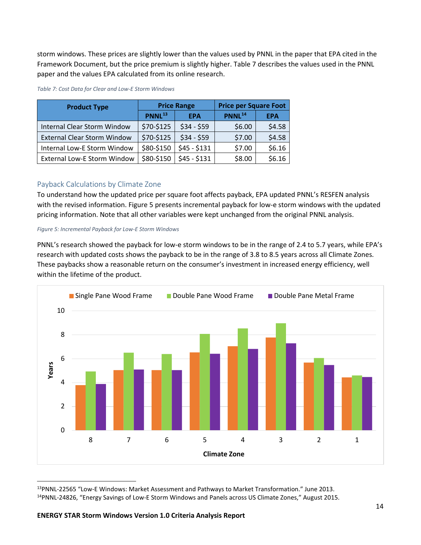storm windows. These prices are slightly lower than the values used by PNNL in the paper that EPA cited in the Framework Document, but the price premium is slightly higher. Table 7 describes the values used in the PNNL paper and the values EPA calculated from its online research.

| <b>Product Type</b>                | <b>Price Range</b> |              | <b>Price per Square Foot</b> |            |  |
|------------------------------------|--------------------|--------------|------------------------------|------------|--|
|                                    | PNNL <sup>13</sup> | <b>EPA</b>   | PNNL <sup>14</sup>           | <b>EPA</b> |  |
| <b>Internal Clear Storm Window</b> | \$70-\$125         | $$34 - $59$  | \$6.00                       | \$4.58     |  |
| <b>External Clear Storm Window</b> | \$70-\$125         | $$34 - $59$  | \$7.00                       | \$4.58     |  |
| Internal Low-E Storm Window        | \$80-\$150         | $$45 - $131$ | \$7.00                       | \$6.16     |  |
| <b>External Low-E Storm Window</b> | \$80-\$150         | $$45 - $131$ | \$8.00                       | \$6.16     |  |

#### *Table 7: Cost Data for Clear and Low-E Storm Windows*

#### <span id="page-13-0"></span>Payback Calculations by Climate Zone

To understand how the updated price per square foot affects payback, EPA updated PNNL's RESFEN analysis with the revised information. [Figure 5](#page-13-1) presents incremental payback for low-e storm windows with the updated pricing information. Note that all other variables were kept unchanged from the original PNNL analysis.

#### <span id="page-13-1"></span>*Figure 5: Incremental Payback for Low-E Storm Windows*

PNNL's research showed the payback for low-e storm windows to be in the range of 2.4 to 5.7 years, while EPA's research with updated costs shows the payback to be in the range of 3.8 to 8.5 years across all Climate Zones. These paybacks show a reasonable return on the consumer's investment in increased energy efficiency, well within the lifetime of the product.



<span id="page-13-3"></span><span id="page-13-2"></span> <sup>13</sup>PNNL-22565 "Low-E Windows: Market Assessment and Pathways to Market Transformation." June 2013. 14PNNL-24826, "Energy Savings of Low-E Storm Windows and Panels across US Climate Zones," August 2015.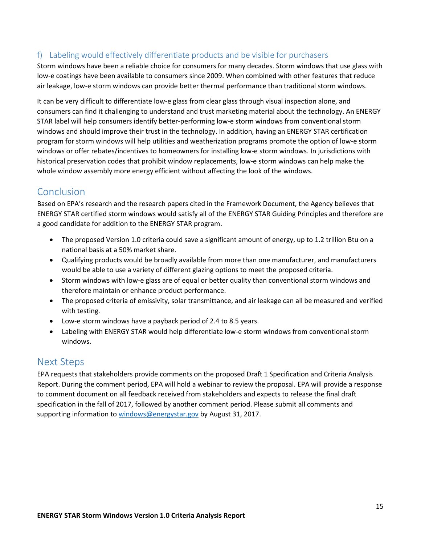### <span id="page-14-0"></span>f) Labeling would effectively differentiate products and be visible for purchasers

Storm windows have been a reliable choice for consumers for many decades. Storm windows that use glass with low-e coatings have been available to consumers since 2009. When combined with other features that reduce air leakage, low-e storm windows can provide better thermal performance than traditional storm windows.

It can be very difficult to differentiate low-e glass from clear glass through visual inspection alone, and consumers can find it challenging to understand and trust marketing material about the technology. An ENERGY STAR label will help consumers identify better-performing low-e storm windows from conventional storm windows and should improve their trust in the technology. In addition, having an ENERGY STAR certification program for storm windows will help utilities and weatherization programs promote the option of low-e storm windows or offer rebates/incentives to homeowners for installing low-e storm windows. In jurisdictions with historical preservation codes that prohibit window replacements, low-e storm windows can help make the whole window assembly more energy efficient without affecting the look of the windows.

### <span id="page-14-1"></span>Conclusion

Based on EPA's research and the research papers cited in the Framework Document, the Agency believes that ENERGY STAR certified storm windows would satisfy all of the ENERGY STAR Guiding Principles and therefore are a good candidate for addition to the ENERGY STAR program.

- The proposed Version 1.0 criteria could save a significant amount of energy, up to 1.2 trillion Btu on a national basis at a 50% market share.
- Qualifying products would be broadly available from more than one manufacturer, and manufacturers would be able to use a variety of different glazing options to meet the proposed criteria.
- Storm windows with low-e glass are of equal or better quality than conventional storm windows and therefore maintain or enhance product performance.
- The proposed criteria of emissivity, solar transmittance, and air leakage can all be measured and verified with testing.
- Low-e storm windows have a payback period of 2.4 to 8.5 years.
- Labeling with ENERGY STAR would help differentiate low-e storm windows from conventional storm windows.

### <span id="page-14-2"></span>Next Steps

<span id="page-14-3"></span>EPA requests that stakeholders provide comments on the proposed Draft 1 Specification and Criteria Analysis Report. During the comment period, EPA will hold a webinar to review the proposal. EPA will provide a response to comment document on all feedback received from stakeholders and expects to release the final draft specification in the fall of 2017, followed by another comment period. Please submit all comments and supporting information t[o windows@energystar.gov](mailto:windows@energystar.gov) by August 31, 2017.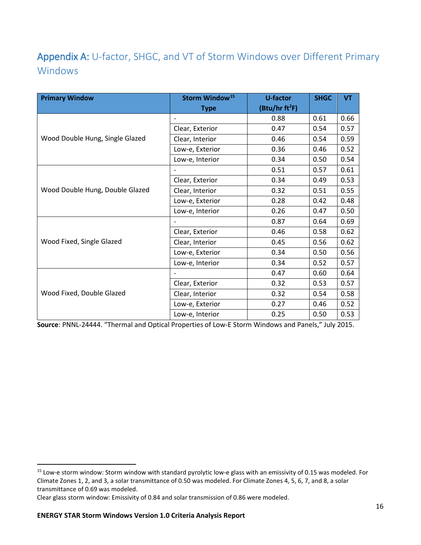## <span id="page-15-0"></span>Appendix A: U-factor, SHGC, and VT of Storm Windows over Different Primary Windows

| <b>Primary Window</b>           | Storm Window <sup>15</sup> | U-factor                   | <b>SHGC</b> | <b>VT</b> |
|---------------------------------|----------------------------|----------------------------|-------------|-----------|
|                                 | <b>Type</b>                | (Btu/hr ft <sup>2</sup> F) |             |           |
|                                 | $\qquad \qquad -$          | 0.88                       | 0.61        | 0.66      |
|                                 | Clear, Exterior            | 0.47                       | 0.54        | 0.57      |
| Wood Double Hung, Single Glazed | Clear, Interior            | 0.46                       | 0.54        | 0.59      |
|                                 | Low-e, Exterior            | 0.36                       | 0.46        | 0.52      |
|                                 | Low-e, Interior            | 0.34                       | 0.50        | 0.54      |
|                                 |                            | 0.51                       | 0.57        | 0.61      |
|                                 | Clear, Exterior            | 0.34                       | 0.49        | 0.53      |
| Wood Double Hung, Double Glazed | Clear, Interior            | 0.32                       | 0.51        | 0.55      |
|                                 | Low-e, Exterior            | 0.28                       | 0.42        | 0.48      |
|                                 | Low-e, Interior            | 0.26                       | 0.47        | 0.50      |
|                                 |                            | 0.87                       | 0.64        | 0.69      |
|                                 | Clear, Exterior            | 0.46                       | 0.58        | 0.62      |
| Wood Fixed, Single Glazed       | Clear, Interior            | 0.45                       | 0.56        | 0.62      |
|                                 | Low-e, Exterior            | 0.34                       | 0.50        | 0.56      |
|                                 | Low-e, Interior            | 0.34                       | 0.52        | 0.57      |
|                                 |                            | 0.47                       | 0.60        | 0.64      |
|                                 | Clear, Exterior            | 0.32                       | 0.53        | 0.57      |
| Wood Fixed, Double Glazed       | Clear, Interior            | 0.32                       | 0.54        | 0.58      |
|                                 | Low-e, Exterior            | 0.27                       | 0.46        | 0.52      |
|                                 | Low-e, Interior            | 0.25                       | 0.50        | 0.53      |

**Source**: PNNL-24444. "Thermal and Optical Properties of Low-E Storm Windows and Panels," July 2015.

<span id="page-15-1"></span><sup>&</sup>lt;sup>15</sup> Low-e storm window: Storm window with standard pyrolytic low-e glass with an emissivity of 0.15 was modeled. For Climate Zones 1, 2, and 3, a solar transmittance of 0.50 was modeled. For Climate Zones 4, 5, 6, 7, and 8, a solar transmittance of 0.69 was modeled.

Clear glass storm window: Emissivity of 0.84 and solar transmission of 0.86 were modeled.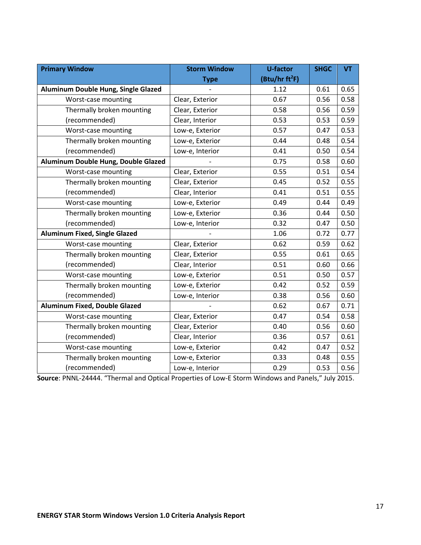| <b>Primary Window</b>                | <b>Storm Window</b> | <b>U-factor</b>            | <b>SHGC</b> | <b>VT</b> |
|--------------------------------------|---------------------|----------------------------|-------------|-----------|
|                                      | <b>Type</b>         | (Btu/hr ft <sup>2</sup> F) |             |           |
| Aluminum Double Hung, Single Glazed  |                     | 1.12                       | 0.61        | 0.65      |
| Worst-case mounting                  | Clear, Exterior     | 0.67                       | 0.56        | 0.58      |
| Thermally broken mounting            | Clear, Exterior     | 0.58                       | 0.56        | 0.59      |
| (recommended)                        | Clear, Interior     | 0.53                       | 0.53        | 0.59      |
| Worst-case mounting                  | Low-e, Exterior     | 0.57                       | 0.47        | 0.53      |
| Thermally broken mounting            | Low-e, Exterior     | 0.44                       | 0.48        | 0.54      |
| (recommended)                        | Low-e, Interior     | 0.41                       | 0.50        | 0.54      |
| Aluminum Double Hung, Double Glazed  |                     | 0.75                       | 0.58        | 0.60      |
| Worst-case mounting                  | Clear, Exterior     | 0.55                       | 0.51        | 0.54      |
| Thermally broken mounting            | Clear, Exterior     | 0.45                       | 0.52        | 0.55      |
| (recommended)                        | Clear, Interior     | 0.41                       | 0.51        | 0.55      |
| Worst-case mounting                  | Low-e, Exterior     | 0.49                       | 0.44        | 0.49      |
| Thermally broken mounting            | Low-e, Exterior     | 0.36                       | 0.44        | 0.50      |
| (recommended)                        | Low-e, Interior     | 0.32                       | 0.47        | 0.50      |
| <b>Aluminum Fixed, Single Glazed</b> |                     | 1.06                       | 0.72        | 0.77      |
| Worst-case mounting                  | Clear, Exterior     | 0.62                       | 0.59        | 0.62      |
| Thermally broken mounting            | Clear, Exterior     | 0.55                       | 0.61        | 0.65      |
| (recommended)                        | Clear, Interior     | 0.51                       | 0.60        | 0.66      |
| Worst-case mounting                  | Low-e, Exterior     | 0.51                       | 0.50        | 0.57      |
| Thermally broken mounting            | Low-e, Exterior     | 0.42                       | 0.52        | 0.59      |
| (recommended)                        | Low-e, Interior     | 0.38                       | 0.56        | 0.60      |
| <b>Aluminum Fixed, Double Glazed</b> |                     | 0.62                       | 0.67        | 0.71      |
| Worst-case mounting                  | Clear, Exterior     | 0.47                       | 0.54        | 0.58      |
| Thermally broken mounting            | Clear, Exterior     | 0.40                       | 0.56        | 0.60      |
| (recommended)                        | Clear, Interior     | 0.36                       | 0.57        | 0.61      |
| Worst-case mounting                  | Low-e, Exterior     | 0.42                       | 0.47        | 0.52      |
| Thermally broken mounting            | Low-e, Exterior     | 0.33                       | 0.48        | 0.55      |
| (recommended)                        | Low-e, Interior     | 0.29                       | 0.53        | 0.56      |

**Source**: PNNL-24444. "Thermal and Optical Properties of Low-E Storm Windows and Panels," July 2015.